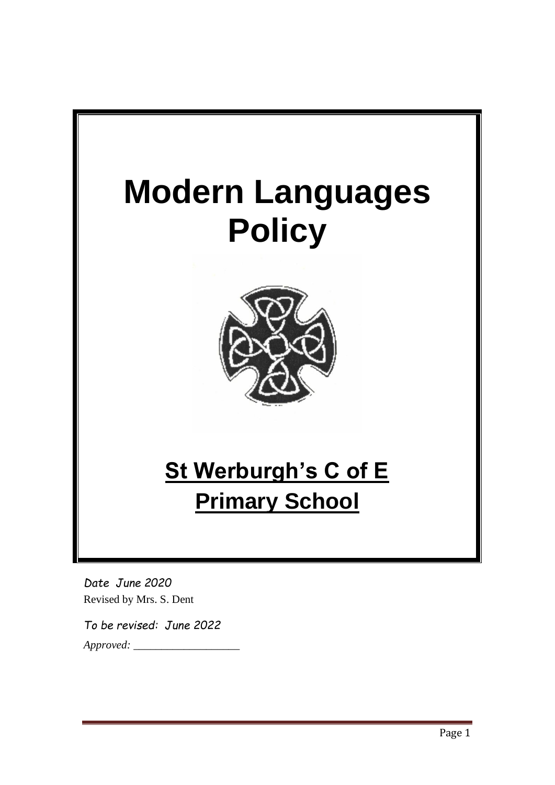

*Date June 2020* Revised by Mrs. S. Dent

*To be revised: June 2022 Approved: \_\_\_\_\_\_\_\_\_\_\_\_\_\_\_\_\_\_\_*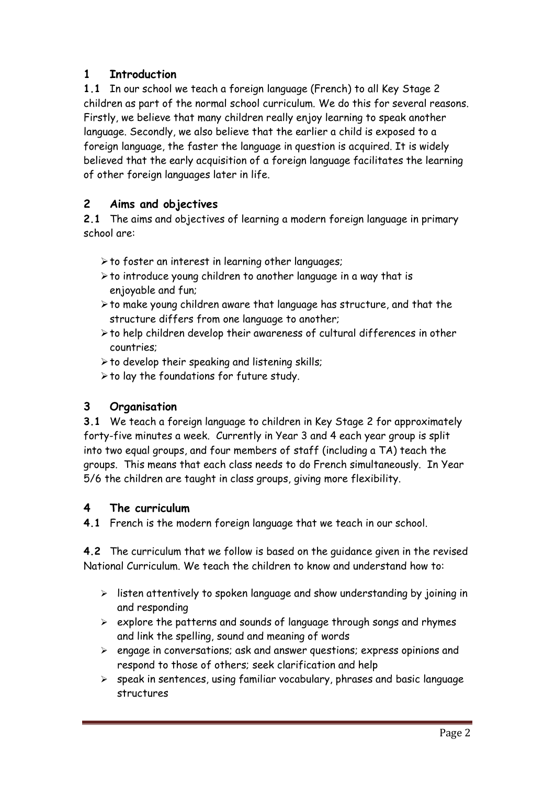### **1 Introduction**

**1.1** In our school we teach a foreign language (French) to all Key Stage 2 children as part of the normal school curriculum. We do this for several reasons. Firstly, we believe that many children really enjoy learning to speak another language. Secondly, we also believe that the earlier a child is exposed to a foreign language, the faster the language in question is acquired. It is widely believed that the early acquisition of a foreign language facilitates the learning of other foreign languages later in life.

# **2 Aims and objectives**

**2.1** The aims and objectives of learning a modern foreign language in primary school are:

- $\triangleright$  to foster an interest in learning other languages;
- ➢to introduce young children to another language in a way that is enjoyable and fun;
- ➢to make young children aware that language has structure, and that the structure differs from one language to another;
- ➢to help children develop their awareness of cultural differences in other countries;
- $\triangleright$  to develop their speaking and listening skills;
- ➢to lay the foundations for future study.

### **3 Organisation**

**3.1** We teach a foreign language to children in Key Stage 2 for approximately forty-five minutes a week. Currently in Year 3 and 4 each year group is split into two equal groups, and four members of staff (including a TA) teach the groups. This means that each class needs to do French simultaneously. In Year 5/6 the children are taught in class groups, giving more flexibility.

### **4 The curriculum**

**4.1** French is the modern foreign language that we teach in our school.

**4.2** The curriculum that we follow is based on the guidance given in the revised National Curriculum. We teach the children to know and understand how to:

- ➢ listen attentively to spoken language and show understanding by joining in and responding
- $\triangleright$  explore the patterns and sounds of language through songs and rhymes and link the spelling, sound and meaning of words
- ➢ engage in conversations; ask and answer questions; express opinions and respond to those of others; seek clarification and help
- ➢ speak in sentences, using familiar vocabulary, phrases and basic language structures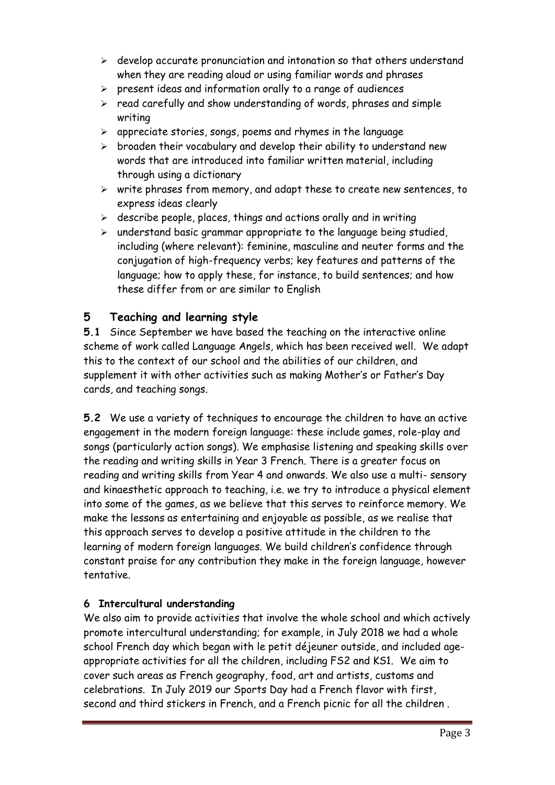- ➢ develop accurate pronunciation and intonation so that others understand when they are reading aloud or using familiar words and phrases
- $\triangleright$  present ideas and information orally to a range of audiences
- ➢ read carefully and show understanding of words, phrases and simple writing
- ➢ appreciate stories, songs, poems and rhymes in the language
- $\triangleright$  broaden their vocabulary and develop their ability to understand new words that are introduced into familiar written material, including through using a dictionary
- ➢ write phrases from memory, and adapt these to create new sentences, to express ideas clearly
- $\triangleright$  describe people, places, things and actions orally and in writing
- ➢ understand basic grammar appropriate to the language being studied, including (where relevant): feminine, masculine and neuter forms and the conjugation of high-frequency verbs; key features and patterns of the language; how to apply these, for instance, to build sentences; and how these differ from or are similar to English

### **5 Teaching and learning style**

**5.1** Since September we have based the teaching on the interactive online scheme of work called Language Angels, which has been received well. We adapt this to the context of our school and the abilities of our children, and supplement it with other activities such as making Mother's or Father's Day cards, and teaching songs.

**5.2** We use a variety of techniques to encourage the children to have an active engagement in the modern foreign language: these include games, role-play and songs (particularly action songs). We emphasise listening and speaking skills over the reading and writing skills in Year 3 French. There is a greater focus on reading and writing skills from Year 4 and onwards. We also use a multi- sensory and kinaesthetic approach to teaching, i.e. we try to introduce a physical element into some of the games, as we believe that this serves to reinforce memory. We make the lessons as entertaining and enjoyable as possible, as we realise that this approach serves to develop a positive attitude in the children to the learning of modern foreign languages. We build children's confidence through constant praise for any contribution they make in the foreign language, however tentative.

### **6 Intercultural understanding**

We also aim to provide activities that involve the whole school and which actively promote intercultural understanding; for example, in July 2018 we had a whole school French day which began with le petit déjeuner outside, and included ageappropriate activities for all the children, including FS2 and KS1. We aim to cover such areas as French geography, food, art and artists, customs and celebrations. In July 2019 our Sports Day had a French flavor with first, second and third stickers in French, and a French picnic for all the children .